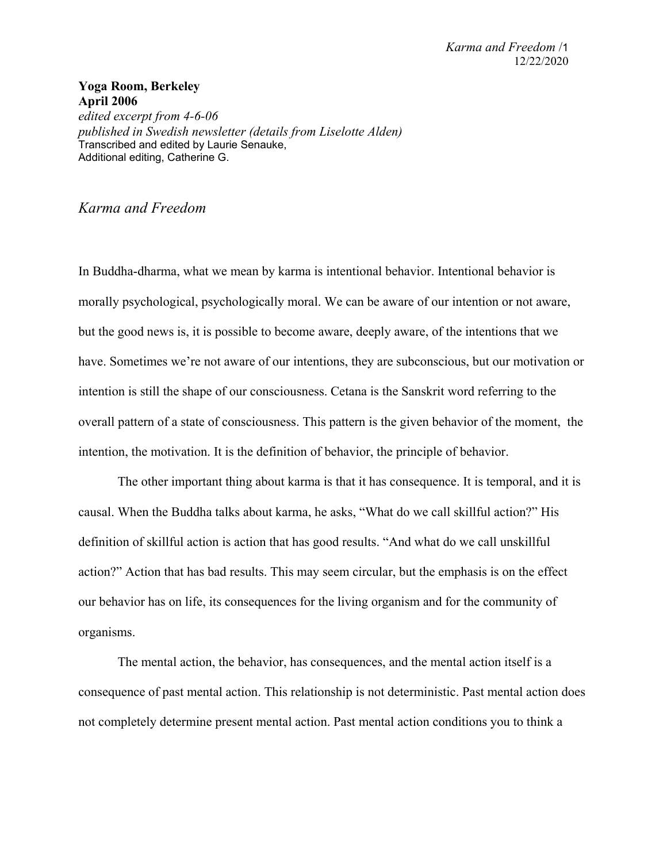## **Yoga Room, Berkeley April 2006**

*edited excerpt from 4-6-06 published in Swedish newsletter (details from Liselotte Alden)*  Transcribed and edited by Laurie Senauke, Additional editing, Catherine G.

## *Karma and Freedom*

In Buddha-dharma, what we mean by karma is intentional behavior. Intentional behavior is morally psychological, psychologically moral. We can be aware of our intention or not aware, but the good news is, it is possible to become aware, deeply aware, of the intentions that we have. Sometimes we're not aware of our intentions, they are subconscious, but our motivation or intention is still the shape of our consciousness. Cetana is the Sanskrit word referring to the overall pattern of a state of consciousness. This pattern is the given behavior of the moment, the intention, the motivation. It is the definition of behavior, the principle of behavior.

The other important thing about karma is that it has consequence. It is temporal, and it is causal. When the Buddha talks about karma, he asks, "What do we call skillful action?" His definition of skillful action is action that has good results. "And what do we call unskillful action?" Action that has bad results. This may seem circular, but the emphasis is on the effect our behavior has on life, its consequences for the living organism and for the community of organisms.

The mental action, the behavior, has consequences, and the mental action itself is a consequence of past mental action. This relationship is not deterministic. Past mental action does not completely determine present mental action. Past mental action conditions you to think a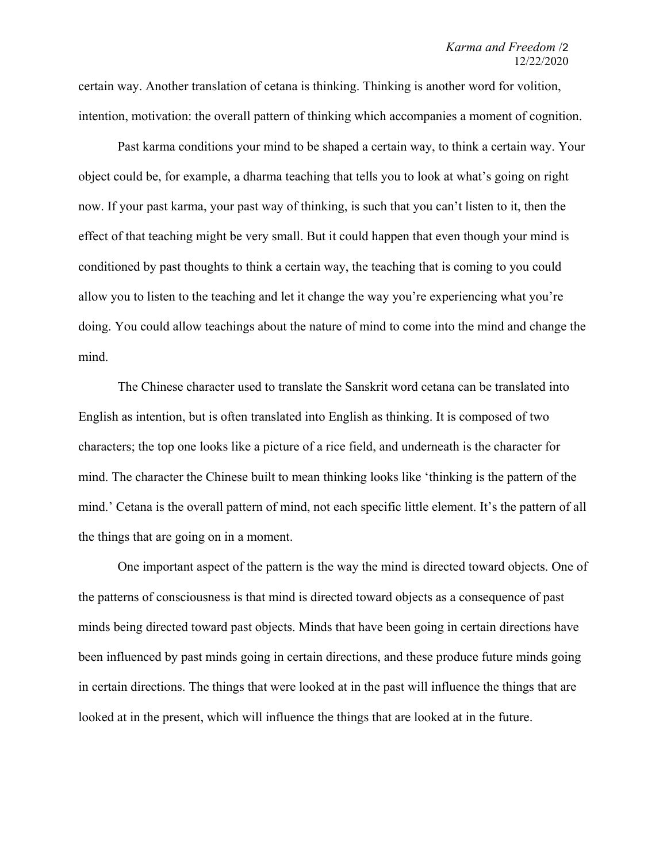certain way. Another translation of cetana is thinking. Thinking is another word for volition, intention, motivation: the overall pattern of thinking which accompanies a moment of cognition.

Past karma conditions your mind to be shaped a certain way, to think a certain way. Your object could be, for example, a dharma teaching that tells you to look at what's going on right now. If your past karma, your past way of thinking, is such that you can't listen to it, then the effect of that teaching might be very small. But it could happen that even though your mind is conditioned by past thoughts to think a certain way, the teaching that is coming to you could allow you to listen to the teaching and let it change the way you're experiencing what you're doing. You could allow teachings about the nature of mind to come into the mind and change the mind.

The Chinese character used to translate the Sanskrit word cetana can be translated into English as intention, but is often translated into English as thinking. It is composed of two characters; the top one looks like a picture of a rice field, and underneath is the character for mind. The character the Chinese built to mean thinking looks like 'thinking is the pattern of the mind.' Cetana is the overall pattern of mind, not each specific little element. It's the pattern of all the things that are going on in a moment.

One important aspect of the pattern is the way the mind is directed toward objects. One of the patterns of consciousness is that mind is directed toward objects as a consequence of past minds being directed toward past objects. Minds that have been going in certain directions have been influenced by past minds going in certain directions, and these produce future minds going in certain directions. The things that were looked at in the past will influence the things that are looked at in the present, which will influence the things that are looked at in the future.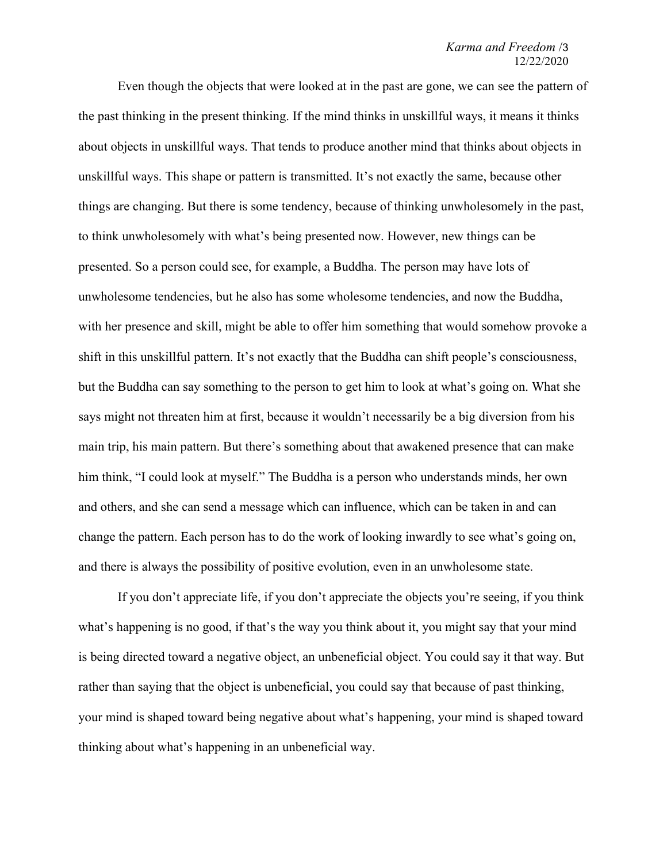## *Karma and Freedom* /3 12/22/2020

Even though the objects that were looked at in the past are gone, we can see the pattern of the past thinking in the present thinking. If the mind thinks in unskillful ways, it means it thinks about objects in unskillful ways. That tends to produce another mind that thinks about objects in unskillful ways. This shape or pattern is transmitted. It's not exactly the same, because other things are changing. But there is some tendency, because of thinking unwholesomely in the past, to think unwholesomely with what's being presented now. However, new things can be presented. So a person could see, for example, a Buddha. The person may have lots of unwholesome tendencies, but he also has some wholesome tendencies, and now the Buddha, with her presence and skill, might be able to offer him something that would somehow provoke a shift in this unskillful pattern. It's not exactly that the Buddha can shift people's consciousness, but the Buddha can say something to the person to get him to look at what's going on. What she says might not threaten him at first, because it wouldn't necessarily be a big diversion from his main trip, his main pattern. But there's something about that awakened presence that can make him think, "I could look at myself." The Buddha is a person who understands minds, her own and others, and she can send a message which can influence, which can be taken in and can change the pattern. Each person has to do the work of looking inwardly to see what's going on, and there is always the possibility of positive evolution, even in an unwholesome state.

If you don't appreciate life, if you don't appreciate the objects you're seeing, if you think what's happening is no good, if that's the way you think about it, you might say that your mind is being directed toward a negative object, an unbeneficial object. You could say it that way. But rather than saying that the object is unbeneficial, you could say that because of past thinking, your mind is shaped toward being negative about what's happening, your mind is shaped toward thinking about what's happening in an unbeneficial way.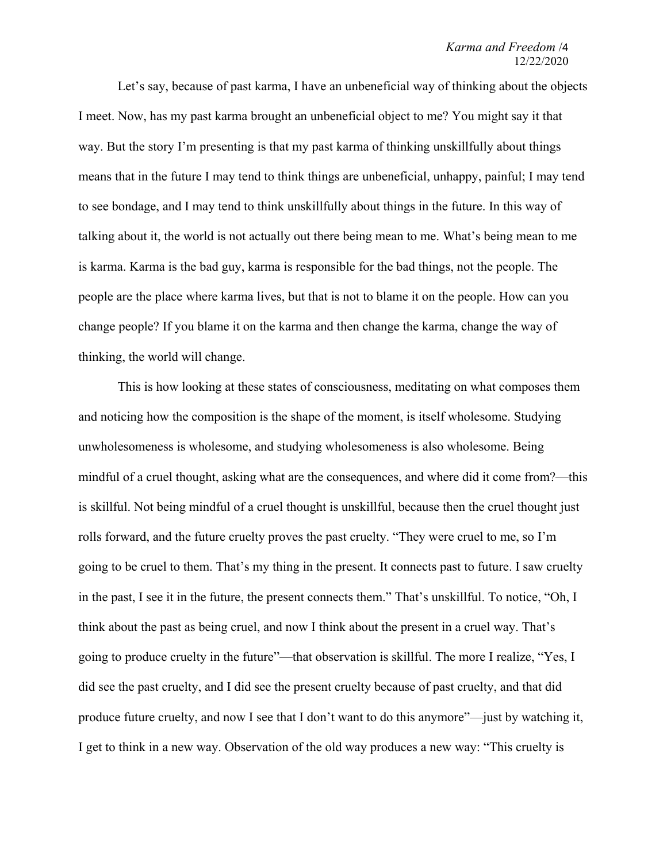## *Karma and Freedom* /4 12/22/2020

Let's say, because of past karma, I have an unbeneficial way of thinking about the objects I meet. Now, has my past karma brought an unbeneficial object to me? You might say it that way. But the story I'm presenting is that my past karma of thinking unskillfully about things means that in the future I may tend to think things are unbeneficial, unhappy, painful; I may tend to see bondage, and I may tend to think unskillfully about things in the future. In this way of talking about it, the world is not actually out there being mean to me. What's being mean to me is karma. Karma is the bad guy, karma is responsible for the bad things, not the people. The people are the place where karma lives, but that is not to blame it on the people. How can you change people? If you blame it on the karma and then change the karma, change the way of thinking, the world will change.

This is how looking at these states of consciousness, meditating on what composes them and noticing how the composition is the shape of the moment, is itself wholesome. Studying unwholesomeness is wholesome, and studying wholesomeness is also wholesome. Being mindful of a cruel thought, asking what are the consequences, and where did it come from?—this is skillful. Not being mindful of a cruel thought is unskillful, because then the cruel thought just rolls forward, and the future cruelty proves the past cruelty. "They were cruel to me, so I'm going to be cruel to them. That's my thing in the present. It connects past to future. I saw cruelty in the past, I see it in the future, the present connects them." That's unskillful. To notice, "Oh, I think about the past as being cruel, and now I think about the present in a cruel way. That's going to produce cruelty in the future"—that observation is skillful. The more I realize, "Yes, I did see the past cruelty, and I did see the present cruelty because of past cruelty, and that did produce future cruelty, and now I see that I don't want to do this anymore"—just by watching it, I get to think in a new way. Observation of the old way produces a new way: "This cruelty is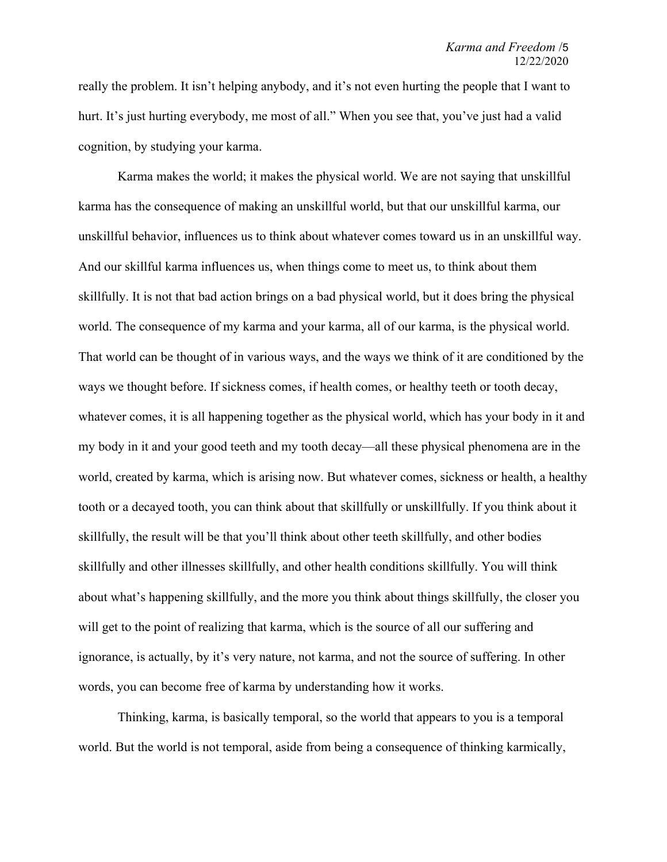really the problem. It isn't helping anybody, and it's not even hurting the people that I want to hurt. It's just hurting everybody, me most of all." When you see that, you've just had a valid cognition, by studying your karma.

Karma makes the world; it makes the physical world. We are not saying that unskillful karma has the consequence of making an unskillful world, but that our unskillful karma, our unskillful behavior, influences us to think about whatever comes toward us in an unskillful way. And our skillful karma influences us, when things come to meet us, to think about them skillfully. It is not that bad action brings on a bad physical world, but it does bring the physical world. The consequence of my karma and your karma, all of our karma, is the physical world. That world can be thought of in various ways, and the ways we think of it are conditioned by the ways we thought before. If sickness comes, if health comes, or healthy teeth or tooth decay, whatever comes, it is all happening together as the physical world, which has your body in it and my body in it and your good teeth and my tooth decay—all these physical phenomena are in the world, created by karma, which is arising now. But whatever comes, sickness or health, a healthy tooth or a decayed tooth, you can think about that skillfully or unskillfully. If you think about it skillfully, the result will be that you'll think about other teeth skillfully, and other bodies skillfully and other illnesses skillfully, and other health conditions skillfully. You will think about what's happening skillfully, and the more you think about things skillfully, the closer you will get to the point of realizing that karma, which is the source of all our suffering and ignorance, is actually, by it's very nature, not karma, and not the source of suffering. In other words, you can become free of karma by understanding how it works.

Thinking, karma, is basically temporal, so the world that appears to you is a temporal world. But the world is not temporal, aside from being a consequence of thinking karmically,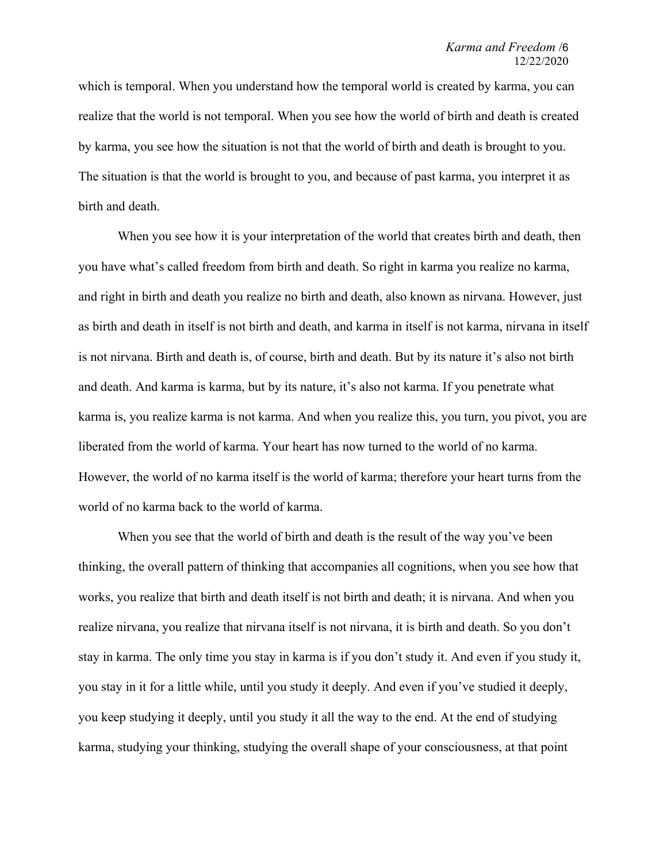which is temporal. When you understand how the temporal world is created by karma, you can realize that the world is not temporal. When you see how the world of birth and death is created by karma, you see how the situation is not that the world of birth and death is brought to you. The situation is that the world is brought to you, and because of past karma, you interpret it as birth and death.

When you see how it is your interpretation of the world that creates birth and death, then you have what's called freedom from birth and death. So right in karma you realize no karma, and right in birth and death you realize no birth and death, also known as nirvana. However, just as birth and death in itself is not birth and death, and karma in itself is not karma, nirvana in itself is not nirvana. Birth and death is, of course, birth and death. But by its nature it's also not birth and death. And karma is karma, but by its nature, it's also not karma. If you penetrate what karma is, you realize karma is not karma. And when you realize this, you turn, you pivot, you are liberated from the world of karma. Your heart has now turned to the world of no karma. However, the world of no karma itself is the world of karma; therefore your heart turns from the world of no karma back to the world of karma.

When you see that the world of birth and death is the result of the way you've been thinking, the overall pattern of thinking that accompanies all cognitions, when you see how that works, you realize that birth and death itself is not birth and death; it is nirvana. And when you realize nirvana, you realize that nirvana itself is not nirvana, it is birth and death. So you don't stay in karma. The only time you stay in karma is if you don't study it. And even if you study it, you stay in it for a little while, until you study it deeply. And even if you've studied it deeply, you keep studying it deeply, until you study it all the way to the end. At the end of studying karma, studying your thinking, studying the overall shape of your consciousness, at that point